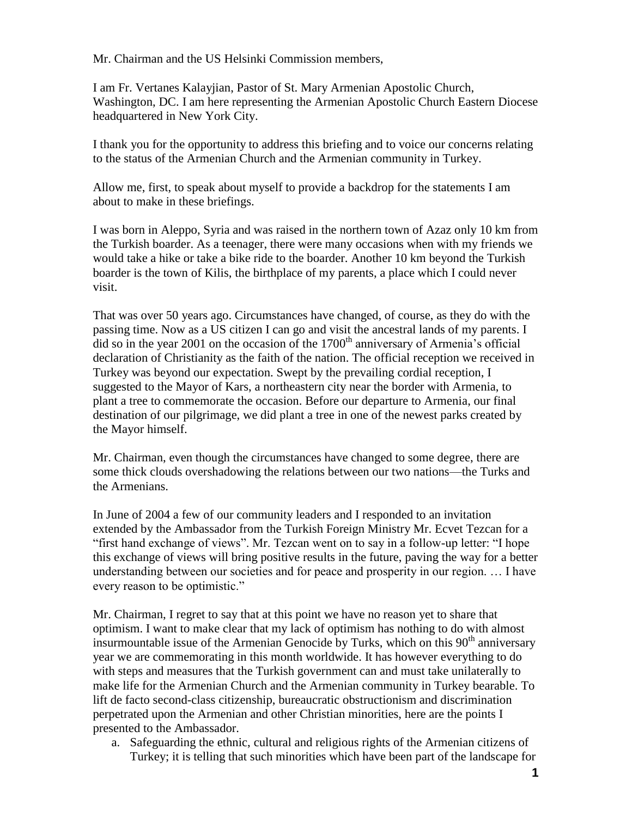Mr. Chairman and the US Helsinki Commission members,

I am Fr. Vertanes Kalayjian, Pastor of St. Mary Armenian Apostolic Church, Washington, DC. I am here representing the Armenian Apostolic Church Eastern Diocese headquartered in New York City.

I thank you for the opportunity to address this briefing and to voice our concerns relating to the status of the Armenian Church and the Armenian community in Turkey.

Allow me, first, to speak about myself to provide a backdrop for the statements I am about to make in these briefings.

I was born in Aleppo, Syria and was raised in the northern town of Azaz only 10 km from the Turkish boarder. As a teenager, there were many occasions when with my friends we would take a hike or take a bike ride to the boarder. Another 10 km beyond the Turkish boarder is the town of Kilis, the birthplace of my parents, a place which I could never visit.

That was over 50 years ago. Circumstances have changed, of course, as they do with the passing time. Now as a US citizen I can go and visit the ancestral lands of my parents. I did so in the year 2001 on the occasion of the  $1700<sup>th</sup>$  anniversary of Armenia's official declaration of Christianity as the faith of the nation. The official reception we received in Turkey was beyond our expectation. Swept by the prevailing cordial reception, I suggested to the Mayor of Kars, a northeastern city near the border with Armenia, to plant a tree to commemorate the occasion. Before our departure to Armenia, our final destination of our pilgrimage, we did plant a tree in one of the newest parks created by the Mayor himself.

Mr. Chairman, even though the circumstances have changed to some degree, there are some thick clouds overshadowing the relations between our two nations—the Turks and the Armenians.

In June of 2004 a few of our community leaders and I responded to an invitation extended by the Ambassador from the Turkish Foreign Ministry Mr. Ecvet Tezcan for a "first hand exchange of views". Mr. Tezcan went on to say in a follow-up letter: "I hope this exchange of views will bring positive results in the future, paving the way for a better understanding between our societies and for peace and prosperity in our region. … I have every reason to be optimistic."

Mr. Chairman, I regret to say that at this point we have no reason yet to share that optimism. I want to make clear that my lack of optimism has nothing to do with almost insurmountable issue of the Armenian Genocide by Turks, which on this  $90<sup>th</sup>$  anniversary year we are commemorating in this month worldwide. It has however everything to do with steps and measures that the Turkish government can and must take unilaterally to make life for the Armenian Church and the Armenian community in Turkey bearable. To lift de facto second-class citizenship, bureaucratic obstructionism and discrimination perpetrated upon the Armenian and other Christian minorities, here are the points I presented to the Ambassador.

a. Safeguarding the ethnic, cultural and religious rights of the Armenian citizens of Turkey; it is telling that such minorities which have been part of the landscape for